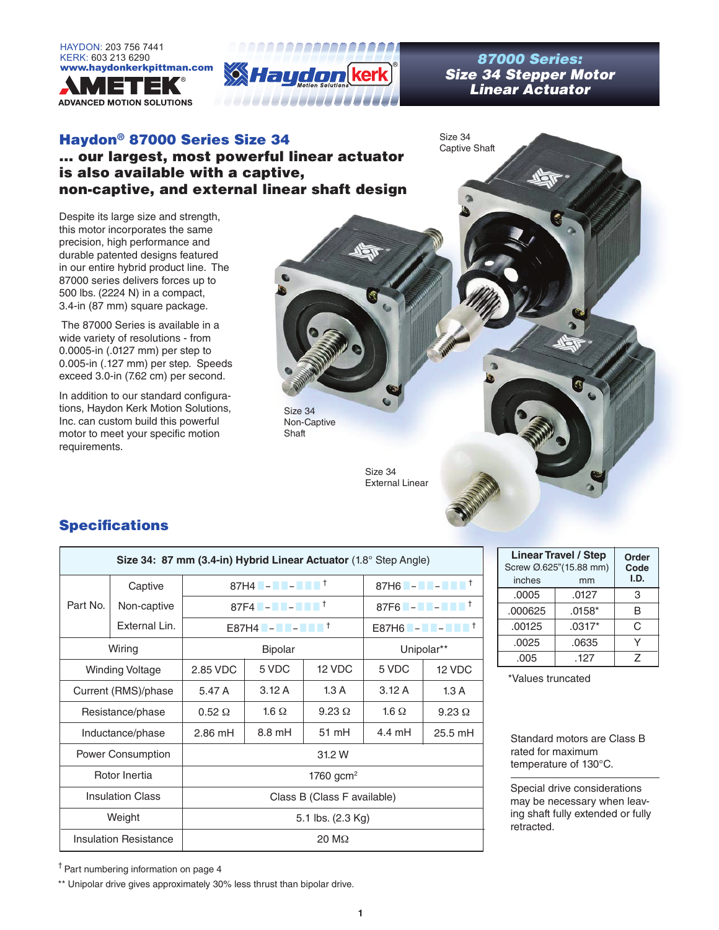



*Size 34 Stepper Motor Linear Actuator*

Size 34 Captive Shaft

### Haydon® 87000 Series Size 34 ... our largest, most powerful linear actuator is also available with a captive, non-captive, and external linear shaft design

Despite its large size and strength, this motor incorporates the same precision, high performance and durable patented designs featured in our entire hybrid product line. The 87000 series delivers forces up to 500 lbs. (2224 N) in a compact, 3.4-in (87 mm) square package.

 The 87000 Series is available in a wide variety of resolutions - from 0.0005-in (.0127 mm) per step to 0.005-in (.127 mm) per step. Speeds exceed 3.0-in (7.62 cm) per second.

In addition to our standard configurations, Haydon Kerk Motion Solutions, Inc. can custom build this powerful motor to meet your specific motion requirements.



External Linear

## **Specifications**

| Size 34: 87 mm (3.4-in) Hybrid Linear Actuator (1.8° Step Angle) |                              |                                                                                                                   |                                      |               |                                                                                                                                  |               |  |
|------------------------------------------------------------------|------------------------------|-------------------------------------------------------------------------------------------------------------------|--------------------------------------|---------------|----------------------------------------------------------------------------------------------------------------------------------|---------------|--|
|                                                                  | Captive                      |                                                                                                                   | 87H4 <b>- 1 - 1 - 1</b> <sup>+</sup> |               | 87H6 $\blacksquare$ - $\blacksquare$ - $\blacksquare$ $\blacksquare$ $\blacksquare$ $\blacksquare$ $\blacksquare$ $\blacksquare$ |               |  |
| Part No.                                                         | Non-captive                  | 87F4 $\blacksquare$ – $\blacksquare$ – $\blacksquare$ $\blacksquare$ $\blacksquare$ $\blacksquare$ $\blacksquare$ |                                      |               |                                                                                                                                  |               |  |
|                                                                  | External Lin.                |                                                                                                                   |                                      |               |                                                                                                                                  |               |  |
|                                                                  | Wiring                       |                                                                                                                   | <b>Bipolar</b>                       |               |                                                                                                                                  | Unipolar**    |  |
|                                                                  | <b>Winding Voltage</b>       | 2.85 VDC                                                                                                          | 5 VDC<br>12 VDC                      |               |                                                                                                                                  | 12 VDC        |  |
| Current (RMS)/phase                                              |                              | 5.47 A                                                                                                            | 3.12A                                | 1.3A          | 3.12A                                                                                                                            | 1.3A          |  |
| Resistance/phase                                                 |                              | $0.52 \Omega$                                                                                                     | 1.6 $\Omega$                         | $9.23 \Omega$ | 1.6 $\Omega$                                                                                                                     | $9.23 \Omega$ |  |
| Inductance/phase                                                 |                              | $2.86$ mH                                                                                                         | $8.8 \text{ mH}$                     | 51 mH         | 4.4 mH                                                                                                                           | $25.5$ mH     |  |
|                                                                  | Power Consumption            | 31.2 W                                                                                                            |                                      |               |                                                                                                                                  |               |  |
|                                                                  | Rotor Inertia                |                                                                                                                   | 1760 gcm <sup>2</sup>                |               |                                                                                                                                  |               |  |
| <b>Insulation Class</b>                                          |                              | Class B (Class F available)                                                                                       |                                      |               |                                                                                                                                  |               |  |
| Weight                                                           |                              | 5.1 lbs. (2.3 Kg)                                                                                                 |                                      |               |                                                                                                                                  |               |  |
|                                                                  | <b>Insulation Resistance</b> |                                                                                                                   | $20 \text{ M}\Omega$                 |               |                                                                                                                                  |               |  |

| <b>Linear Travel / Step</b><br>Screw Ø.625"(15.88 mm)<br>inches | Order<br>Code<br>I.D. |   |
|-----------------------------------------------------------------|-----------------------|---|
| .0005                                                           | .0127                 | 3 |
| .000625                                                         | $.0158*$              | R |
| .00125                                                          | $.0317*$              | C |
| .0025                                                           | .0635                 |   |
| .005                                                            | .127                  | 7 |

\*Values truncated

Standard motors are Class B rated for maximum temperature of 130°C.

Special drive considerations may be necessary when leaving shaft fully extended or fully retracted.

† Part numbering information on page 4

\*\* Unipolar drive gives approximately 30% less thrust than bipolar drive.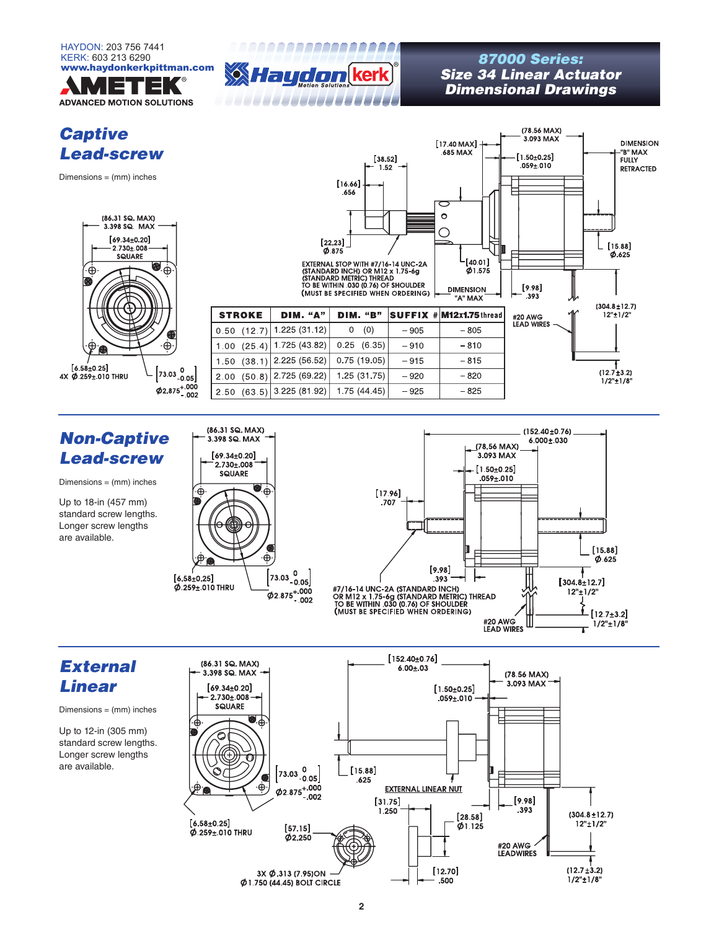

# *Captive Lead-screw*

 $Dimensions = (mm)$  inches



|                |                 | $[38.52]$<br>1,52<br>[16.66]<br>.656<br>$[22.23]$<br>0.875<br>EXTERNAL STOP WITH #7/16-14 UNC-2A<br>(STANDARD INCH) OR M12 x 1.75-6g<br>(STANDARD METRIC) THREAD<br>TO BE WITHIN 030 (0.76) OF SHOULDER<br>(MUST BE SPECIFIED WHEN ORDERING) |        | [17,40 MAX]<br>.685 MAX<br>ᅙ<br>$\circ$<br>[40.01]<br>Ø1.575<br><b>DIMENSION</b><br>"A" MAX | (78.56 MAX)<br>3.093 MAX<br>$[1.50 \pm 0.25]$<br>$.059 \pm .010$<br>[9.98]<br>.393<br>۸И | <b>DIMENSION</b><br>"B" MAX<br><b>FULLY</b><br><b>RETRACTED</b><br>[15.88]<br>0.625 |
|----------------|-----------------|----------------------------------------------------------------------------------------------------------------------------------------------------------------------------------------------------------------------------------------------|--------|---------------------------------------------------------------------------------------------|------------------------------------------------------------------------------------------|-------------------------------------------------------------------------------------|
| <b>STROKE</b>  | <b>DIM.</b> "A" | <b>DIM. "B"</b>                                                                                                                                                                                                                              |        | SUFFIX # M12x1,75 thread                                                                    | #20 AWG                                                                                  | $(304.8 \pm 12.7)$<br>12"±1/2"                                                      |
| 0.50(12.7)     | 1.225 (31.12)   | (0)<br>0                                                                                                                                                                                                                                     | $-905$ | $-805$                                                                                      | <b>LEAD WIRES</b>                                                                        |                                                                                     |
| (25.4)<br>1.00 | 1 725 (43.82)   | (6.35)<br>0.25                                                                                                                                                                                                                               | $-910$ | $-810$                                                                                      |                                                                                          |                                                                                     |
| (38.1)<br>1.50 | 2.225 (56.52)   | 0.75(19.05)                                                                                                                                                                                                                                  | $-915$ | $-815$                                                                                      |                                                                                          |                                                                                     |
| (50.8)<br>2.00 | 2.725 (69.22)   | 1.25 (31.75)                                                                                                                                                                                                                                 | $-920$ | $-820$                                                                                      |                                                                                          | $(12.7 \pm 3.2)$<br>$1/2"$ ± $1/8"$                                                 |
| 2.50<br>(63.5) | 3.225 (81.92)   | 1 75 (44 45)                                                                                                                                                                                                                                 | $-925$ | $-825$                                                                                      |                                                                                          |                                                                                     |

AAAAAAAAAAAAAAAAA

FITTI TITLET

# *Non-Captive Lead-screw*

 $Dimensions = (mm)$  inches

Up to 18-in (457 mm) standard screw lengths. Longer screw lengths are available.





# *External Linear*

Dimensions = (mm) inches

Up to 12-in (305 mm) standard screw lengths. Longer screw lengths are available.



### www.haydon.html<br>**Wild by Size 34 Linear Actu**<br>Size 34 Linear Actu *Size 34 Linear Actuator Dimensional Drawings*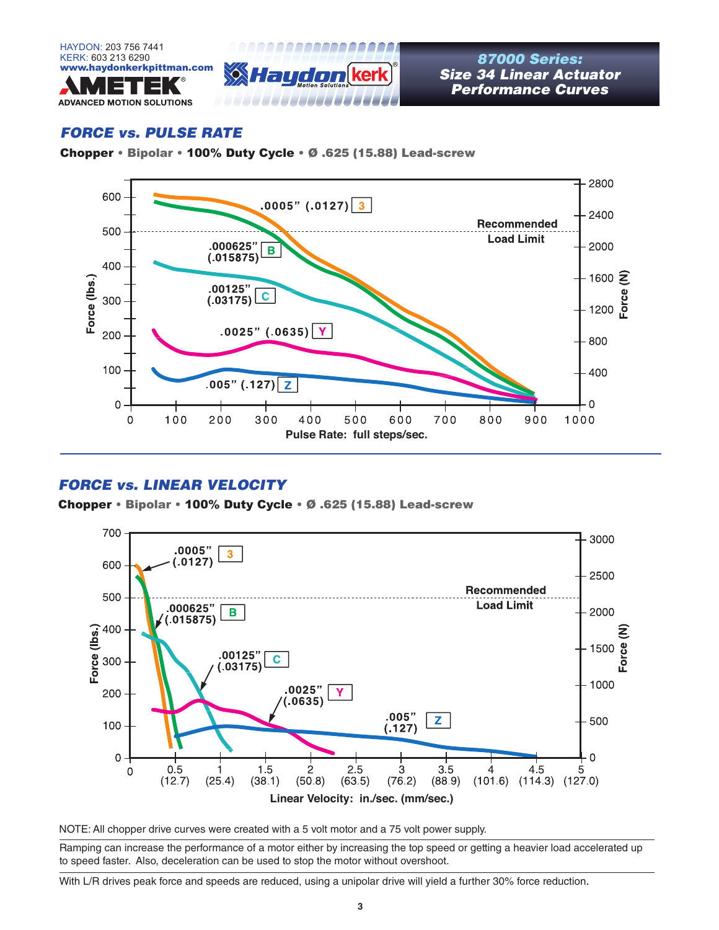



*Size 34 Linear Actuator Performance Curves*

### *FORCE vs. PULSE RATE*

Chopper • Bipolar • 100% Duty Cycle • Ø .625 (15.88) Lead-screw



### *FORCE vs. LINEAR VELOCITY*

Chopper • Bipolar • 100% Duty Cycle • Ø .625 (15.88) Lead-screw



NOTE: All chopper drive curves were created with a 5 volt motor and a 75 volt power supply.

Ramping can increase the performance of a motor either by increasing the top speed or getting a heavier load accelerated up to speed faster. Also, deceleration can be used to stop the motor without overshoot.

With L/R drives peak force and speeds are reduced, using a unipolar drive will yield a further 30% force reduction.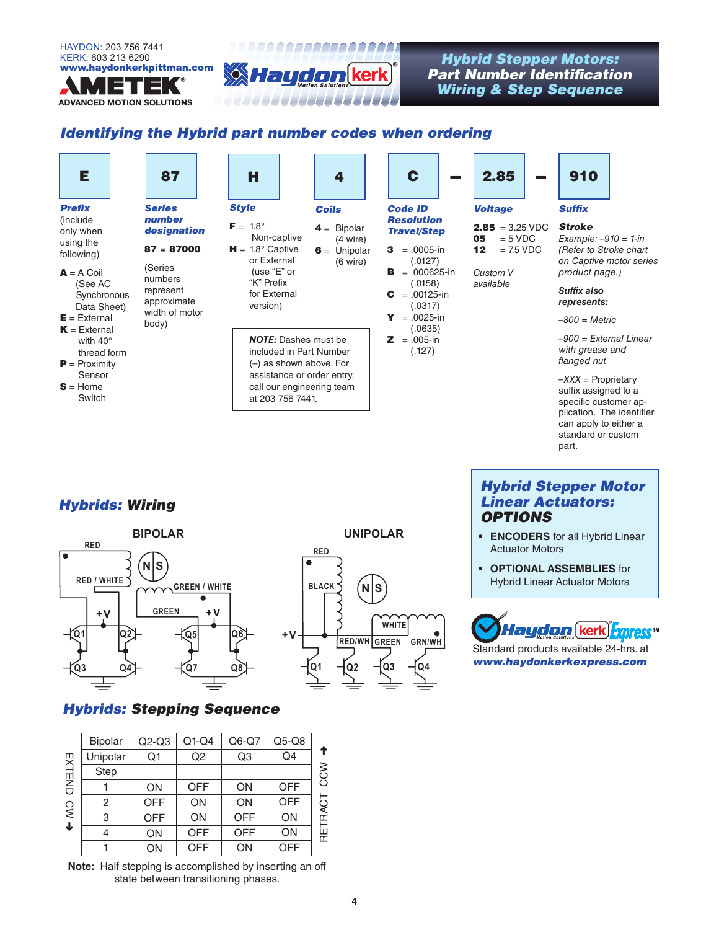

**ADVANCED MOTION SOLUTIONS** 



(4 wire)

(6 wire)

### www.haydonkerkpittman.com *Hybrid Stepper Motors: Part Number Identification Wiring & Step Sequence*

### *Identifying the Hybrid part number codes when ordering*

| Ε |  |
|---|--|
|   |  |

#### *Prefix* (include only when

using the following)

- $A = A$  Coil (See AC **Synchronous** Data Sheet)
- $E =$  External
- $K =$  External
- with 40° thread form
- $P = Proximity$ Sensor
- $S =$  Home **Switch**

| <b>Series</b><br>number |
|-------------------------|
| designation             |
| $87 = 87000$            |
| (Series<br>numbers      |

represent approximate width of motor body)



*NOTE:* Dashes must be included in Part Number (–) as shown above. For assistance or order entry, call our engineering team at 203 756 7441.

|   | C                                                  |  |
|---|----------------------------------------------------|--|
|   | <b>Code ID</b><br>Resolution<br><b>Travel/Step</b> |  |
| 3 | $=.0005$ -in<br>(.0127)                            |  |

#### $\overline{B}$  = .000625-in (.0158)  $C = .00125-in$ (.0317)

- $Y = 0.0025 in$ (.0635)
- $2 = .005-in$ (.127)



 $05 = 5 \text{ VDC}$ **12**  $= 7.5 \text{ VDC}$ 

*Custom V available*

*represents: –800 = Metric*

*–900 = External Linear with grease and flanged nut*

*Example: –910 = 1-in (Refer to Stroke chart on Captive motor series product page.) Suffix also*

*–XXX =* Proprietary suffix assigned to a specific customer application. The identifier can apply to either a standard or custom part.

# *Hybrids: Wiring*



# **RED**  $\overline{\mathsf{N}}$ **BLACK WHITE RED/WH GREEN GRN/WH + V Q1 Q2 Q3 Q4**

**UNIPOLAR**

# *Hybrids: Stepping Sequence*

| <b>Bipolar</b> | $Q2-Q3$    | $Q1-Q4$        | $Q6-Q7$        | $Q5-Q8$        |      |
|----------------|------------|----------------|----------------|----------------|------|
| Unipolar       | Q1         | Q <sub>2</sub> | Q <sub>3</sub> | Q <sub>4</sub> | ↑    |
| Step           |            |                |                |                | CCW  |
|                | ON         | <b>OFF</b>     | ON             | <b>OFF</b>     |      |
| 2              | <b>OFF</b> | ON             | ON             | <b>OFF</b>     | RACT |
| 3              | <b>OFF</b> | ON             | <b>OFF</b>     | ON             |      |
|                | ON         | <b>OFF</b>     | <b>OFF</b>     | ON             | RET  |
|                | ON         | <b>OFF</b>     | ON             | <b>OFF</b>     |      |
|                |            |                |                |                |      |

**Note:** Half stepping is accomplished by inserting an off state between transitioning phases.

*Hybrid Stepper Motor Linear Actuators: OPTIONS*

- **ENCODERS** for all Hybrid Linear Actuator Motors
- **OPTIONAL ASSEMBLIES** for Hybrid Linear Actuator Motors



Standard products available 24-hrs. at *www.haydonkerkexpress.com*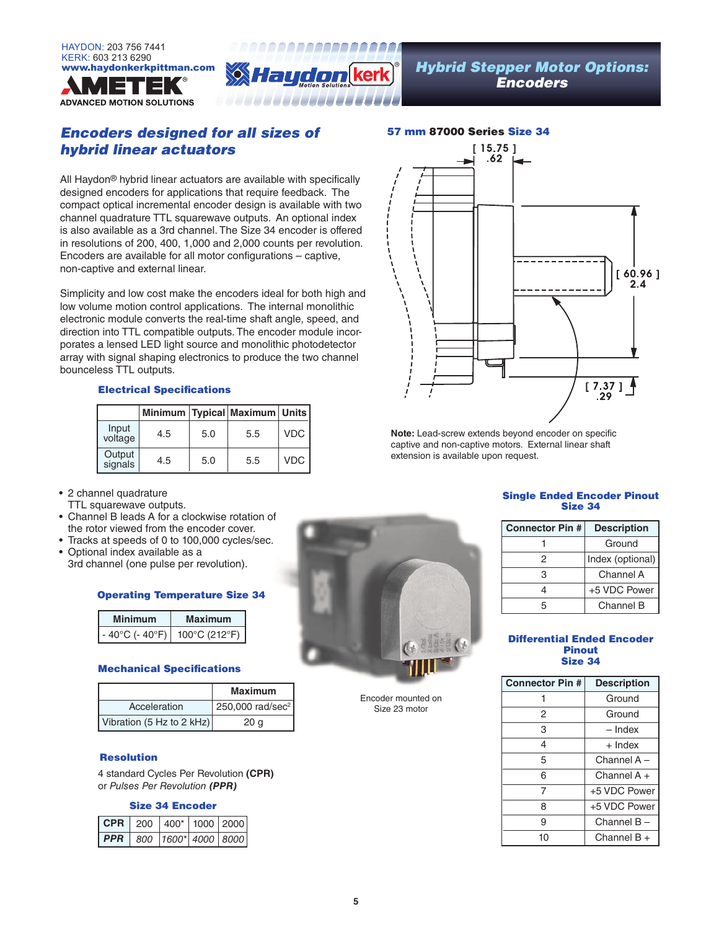



### *Encoders designed for all sizes of hybrid linear actuators*

All Haydon® hybrid linear actuators are available with specifically designed encoders for applications that require feedback. The compact optical incremental encoder design is available with two channel quadrature TTL squarewave outputs. An optional index is also available as a 3rd channel. The Size 34 encoder is offered in resolutions of 200, 400, 1,000 and 2,000 counts per revolution. Encoders are available for all motor configurations – captive, non-captive and external linear.

. . . . . . . . . . . . . . . . . .

Simplicity and low cost make the encoders ideal for both high and low volume motion control applications. The internal monolithic electronic module converts the real-time shaft angle, speed, and direction into TTL compatible outputs. The encoder module incorporates a lensed LED light source and monolithic photodetector array with signal shaping electronics to produce the two channel bounceless TTL outputs.

#### Electrical Specifications

|                   |     |     | Minimum   Typical   Maximum   Units |       |
|-------------------|-----|-----|-------------------------------------|-------|
| Input<br>voltage  | 4.5 | 5.0 | 5.5                                 | VDC   |
| Output<br>signals | 4.5 | 5.0 | 5.5                                 | VDC I |

- 2 channel quadrature
- TTL squarewave outputs.
- Channel B leads A for a clockwise rotation of the rotor viewed from the encoder cover.
- Tracks at speeds of 0 to 100,000 cycles/sec. • Optional index available as a
- 3rd channel (one pulse per revolution).

#### Operating Temperature Size 34

| <b>Minimum</b>  | Maximum       |
|-----------------|---------------|
| - 40°C (- 40°F) | 100°C (212°F) |

#### Mechanical Specifications

|                           | <b>Maximum</b>               |
|---------------------------|------------------------------|
| Acceleration              | 250,000 rad/sec <sup>2</sup> |
| Vibration (5 Hz to 2 kHz) | 20 g                         |

#### Resolution

4 standard Cycles Per Revolution **(CPR)**  or *Pulses Per Revolution (PPR)*

#### Size 34 Encoder

| $ CPR $ 200 400* 1000 2000           |  |  |
|--------------------------------------|--|--|
| $\overline{PPR}$ 800 1600* 4000 8000 |  |  |



**Note:** Lead-screw extends beyond encoder on specific captive and non-captive motors. External linear shaft extension is available upon request.

#### Single Ended Encoder Pinout Size 34

| <b>Connector Pin #</b> | <b>Description</b> |
|------------------------|--------------------|
|                        | Ground             |
| 2                      | Index (optional)   |
| З                      | Channel A          |
|                        | +5 VDC Power       |
| 5                      | Channel B          |

#### Differential Ended Encoder Pinout Size 34

| <b>Connector Pin #</b> | <b>Description</b> |
|------------------------|--------------------|
|                        | Ground             |
| 2                      | Ground             |
| 3                      | - Index            |
| 4                      | $+$ Index          |
| 5                      | Channel A -        |
| 6                      | Channel $A +$      |
| 7                      | +5 VDC Power       |
| 8                      | +5 VDC Power       |
| 9                      | Channel $B -$      |
| 10                     | Channel $B +$      |

Encoder mounted on Size 23 motor